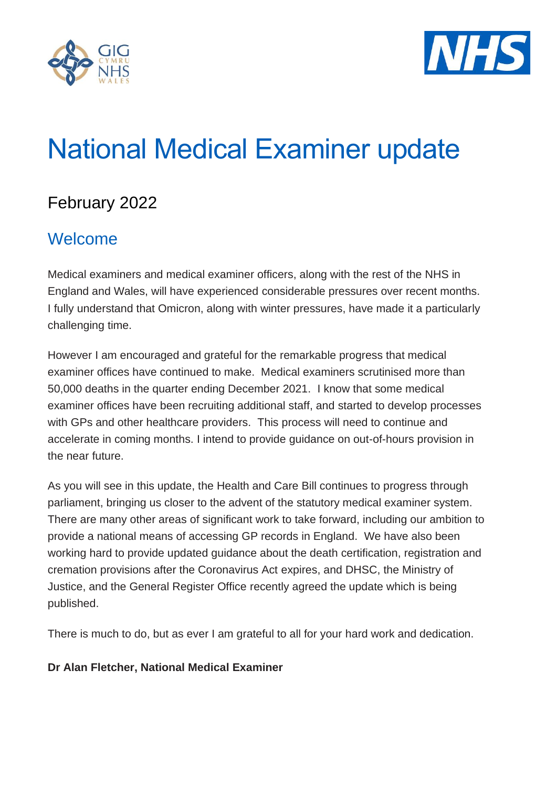



# National Medical Examiner update

## February 2022

#### Welcome

Medical examiners and medical examiner officers, along with the rest of the NHS in England and Wales, will have experienced considerable pressures over recent months. I fully understand that Omicron, along with winter pressures, have made it a particularly challenging time.

However I am encouraged and grateful for the remarkable progress that medical examiner offices have continued to make. Medical examiners scrutinised more than 50,000 deaths in the quarter ending December 2021. I know that some medical examiner offices have been recruiting additional staff, and started to develop processes with GPs and other healthcare providers. This process will need to continue and accelerate in coming months. I intend to provide guidance on out-of-hours provision in the near future.

As you will see in this update, the Health and Care Bill continues to progress through parliament, bringing us closer to the advent of the statutory medical examiner system. There are many other areas of significant work to take forward, including our ambition to provide a national means of accessing GP records in England. We have also been working hard to provide updated guidance about the death certification, registration and cremation provisions after the Coronavirus Act expires, and DHSC, the Ministry of Justice, and the General Register Office recently agreed the update which is being published.

There is much to do, but as ever I am grateful to all for your hard work and dedication.

#### **Dr Alan Fletcher, National Medical Examiner**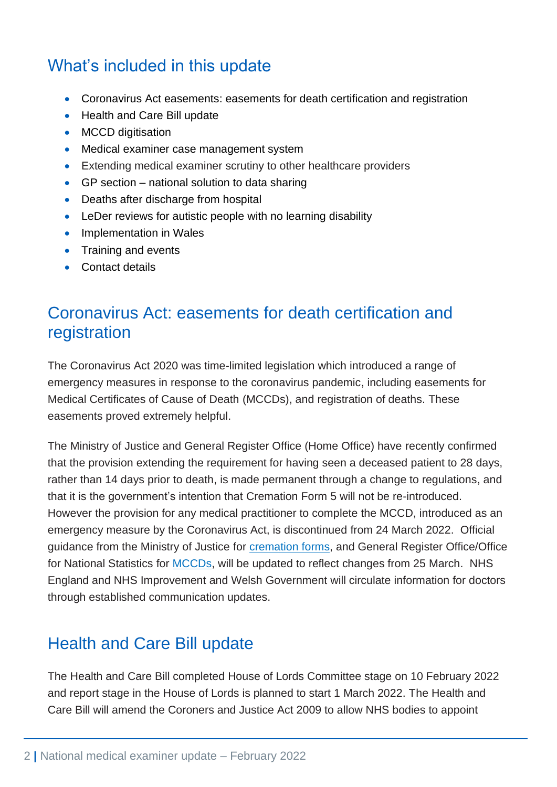## What's included in this update

- Coronavirus Act easements: easements for death certification and registration
- Health and Care Bill update
- MCCD digitisation
- Medical examiner case management system
- Extending medical examiner scrutiny to other healthcare providers
- GP section national solution to data sharing
- Deaths after discharge from hospital
- LeDer reviews for autistic people with no learning disability
- Implementation in Wales
- Training and events
- Contact details

### Coronavirus Act: easements for death certification and registration

The Coronavirus Act 2020 was time-limited legislation which introduced a range of emergency measures in response to the coronavirus pandemic, including easements for Medical Certificates of Cause of Death (MCCDs), and registration of deaths. These easements proved extremely helpful.

The Ministry of Justice and General Register Office (Home Office) have recently confirmed that the provision extending the requirement for having seen a deceased patient to 28 days, rather than 14 days prior to death, is made permanent through a change to regulations, and that it is the government's intention that Cremation Form 5 will not be re-introduced. However the provision for any medical practitioner to complete the MCCD, introduced as an emergency measure by the Coronavirus Act, is discontinued from 24 March 2022. Official guidance from the Ministry of Justice for [cremation forms,](https://www.gov.uk/government/publications/medical-practitioners-guidance-on-completing-cremation-forms) and General Register Office/Office for National Statistics for **MCCDs**, will be updated to reflect changes from 25 March. NHS England and NHS Improvement and Welsh Government will circulate information for doctors through established communication updates.

#### Health and Care Bill update

The Health and Care Bill completed House of Lords Committee stage on 10 February 2022 and report stage in the House of Lords is planned to start 1 March 2022. The Health and Care Bill will amend the Coroners and Justice Act 2009 to allow NHS bodies to appoint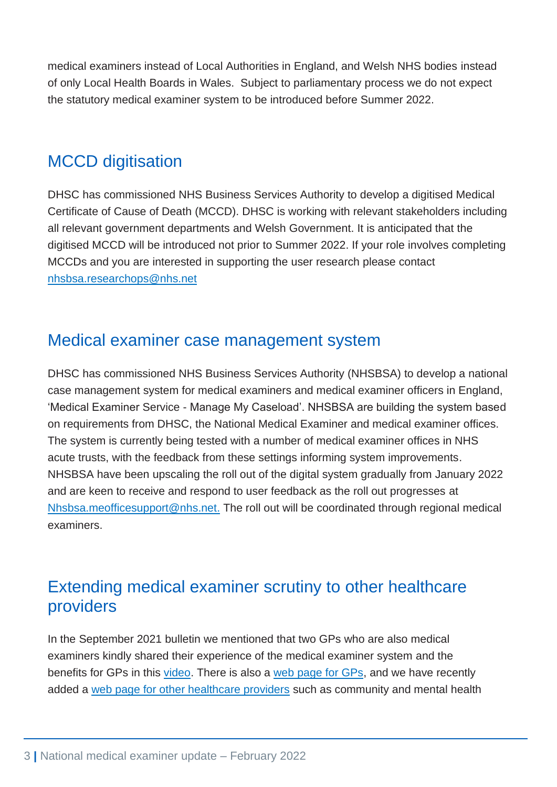medical examiners instead of Local Authorities in England, and Welsh NHS bodies instead of only Local Health Boards in Wales. Subject to parliamentary process we do not expect the statutory medical examiner system to be introduced before Summer 2022.

## **MCCD** digitisation

DHSC has commissioned NHS Business Services Authority to develop a digitised Medical Certificate of Cause of Death (MCCD). DHSC is working with relevant stakeholders including all relevant government departments and Welsh Government. It is anticipated that the digitised MCCD will be introduced not prior to Summer 2022. If your role involves completing MCCDs and you are interested in supporting the user research please contact [nhsbsa.researchops@nhs.net](mailto:nhsbsa.researchops@nhs.net)

#### Medical examiner case management system

DHSC has commissioned NHS Business Services Authority (NHSBSA) to develop a national case management system for medical examiners and medical examiner officers in England, 'Medical Examiner Service - Manage My Caseload'. NHSBSA are building the system based on requirements from DHSC, the National Medical Examiner and medical examiner offices. The system is currently being tested with a number of medical examiner offices in NHS acute trusts, with the feedback from these settings informing system improvements. NHSBSA have been upscaling the roll out of the digital system gradually from January 2022 and are keen to receive and respond to user feedback as the roll out progresses at Nhsbsa.meofficesupport@nhs.net. The roll out will be coordinated through regional medical examiners.

### Extending medical examiner scrutiny to other healthcare providers

In the September 2021 bulletin we mentioned that two GPs who are also medical examiners kindly shared their experience of the medical examiner system and the benefits for GPs in this [video.](https://youtu.be/CIkmdLP7ZB0) There is also a [web page for GPs,](https://www.england.nhs.uk/establishing-medical-examiner-system-nhs/non-coronial-deaths-in-the-community/) and we have recently added a [web page for other healthcare providers](https://www.england.nhs.uk/establishing-medical-examiner-system-nhs/non-acute-nhs-trusts-extending-medical-examiner-scrutiny-to-non-coronial-deaths-in-the-community/) such as community and mental health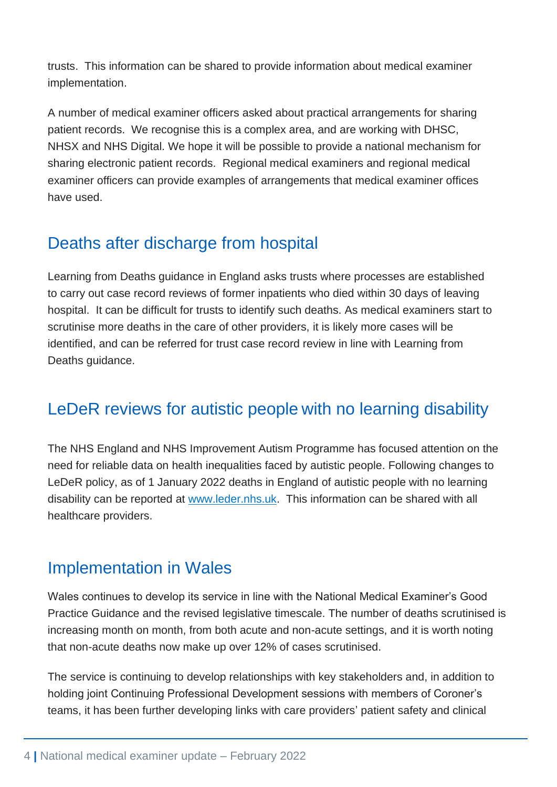trusts. This information can be shared to provide information about medical examiner implementation.

A number of medical examiner officers asked about practical arrangements for sharing patient records. We recognise this is a complex area, and are working with DHSC, NHSX and NHS Digital. We hope it will be possible to provide a national mechanism for sharing electronic patient records. Regional medical examiners and regional medical examiner officers can provide examples of arrangements that medical examiner offices have used.

## Deaths after discharge from hospital

Learning from Deaths guidance in England asks trusts where processes are established to carry out case record reviews of former inpatients who died within 30 days of leaving hospital. It can be difficult for trusts to identify such deaths. As medical examiners start to scrutinise more deaths in the care of other providers, it is likely more cases will be identified, and can be referred for trust case record review in line with Learning from Deaths guidance.

## LeDeR reviews for autistic people with no learning disability

The NHS England and NHS Improvement Autism Programme has focused attention on the need for reliable data on health inequalities faced by autistic people. Following changes to LeDeR policy, as of 1 January 2022 deaths in England of autistic people with no learning disability can be reported at [www.leder.nhs.uk.](http://www.leder.nhs.uk/) This information can be shared with all healthcare providers.

#### Implementation in Wales

Wales continues to develop its service in line with the National Medical Examiner's Good Practice Guidance and the revised legislative timescale. The number of deaths scrutinised is increasing month on month, from both acute and non-acute settings, and it is worth noting that non-acute deaths now make up over 12% of cases scrutinised.

The service is continuing to develop relationships with key stakeholders and, in addition to holding joint Continuing Professional Development sessions with members of Coroner's teams, it has been further developing links with care providers' patient safety and clinical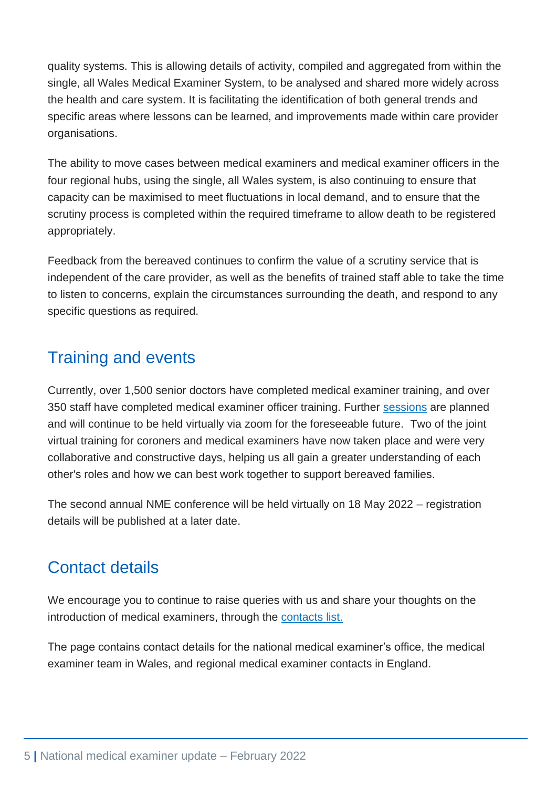quality systems. This is allowing details of activity, compiled and aggregated from within the single, all Wales Medical Examiner System, to be analysed and shared more widely across the health and care system. It is facilitating the identification of both general trends and specific areas where lessons can be learned, and improvements made within care provider organisations.

The ability to move cases between medical examiners and medical examiner officers in the four regional hubs, using the single, all Wales system, is also continuing to ensure that capacity can be maximised to meet fluctuations in local demand, and to ensure that the scrutiny process is completed within the required timeframe to allow death to be registered appropriately.

Feedback from the bereaved continues to confirm the value of a scrutiny service that is independent of the care provider, as well as the benefits of trained staff able to take the time to listen to concerns, explain the circumstances surrounding the death, and respond to any specific questions as required.

### Training and events

Currently, over 1,500 senior doctors have completed medical examiner training, and over 350 staff have completed medical examiner officer training. Further [sessions](https://www.rcpath.org/profession/conferences/events.html) are planned and will continue to be held virtually via zoom for the foreseeable future. Two of the joint virtual training for coroners and medical examiners have now taken place and were very collaborative and constructive days, helping us all gain a greater understanding of each other's roles and how we can best work together to support bereaved families.

The second annual NME conference will be held virtually on 18 May 2022 – registration details will be published at a later date.

#### Contact details

We encourage you to continue to raise queries with us and share your thoughts on the introduction of medical examiners, through the [contacts list.](https://www.england.nhs.uk/establishing-medical-examiner-system-nhs/#national-and-regional-contacts)

The page contains contact details for the national medical examiner's office, the medical examiner team in Wales, and regional medical examiner contacts in England.